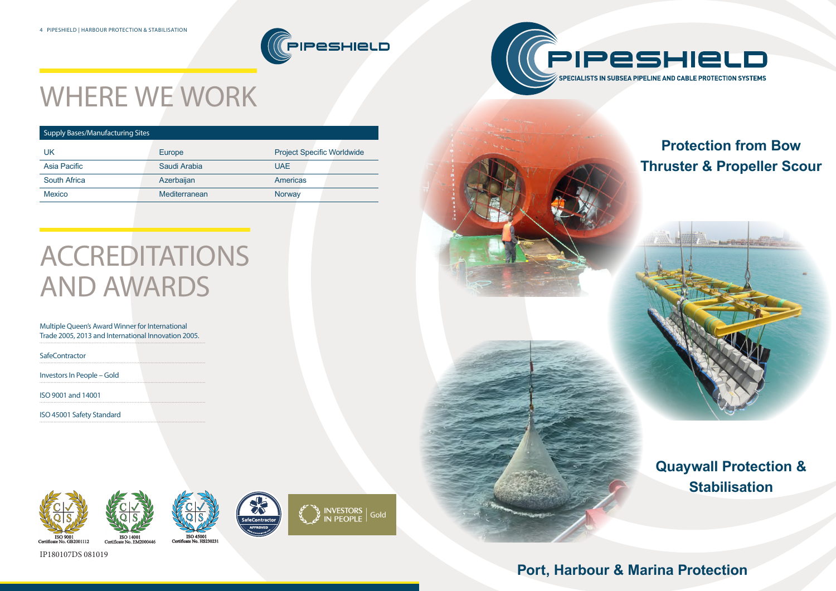### **Port, Harbour & Marina Protection**





## **Protection from Bow Thruster & Propeller Scour**









# WHERE WE WORK

### Supply Bases/Manufacturing Sites

| UK                  | Europe        | <b>Project Specific Worldwide</b> |
|---------------------|---------------|-----------------------------------|
| Asia Pacific        | Saudi Arabia  | UAE.                              |
| <b>South Africa</b> | Azerbaijan    | <b>Americas</b>                   |
| <b>Mexico</b>       | Mediterranean | Norway                            |
|                     |               |                                   |

# ACCREDITATIONS AND AWARDS

### Multiple Queen's Award Winner for International Trade 2005, 2013 and International Innovation 2005.

**SafeContractor** 

Investors In People – Gold

ISO 9001 and 14001

ISO 45001 Safety Standard



IP180107DS 081019

Certif